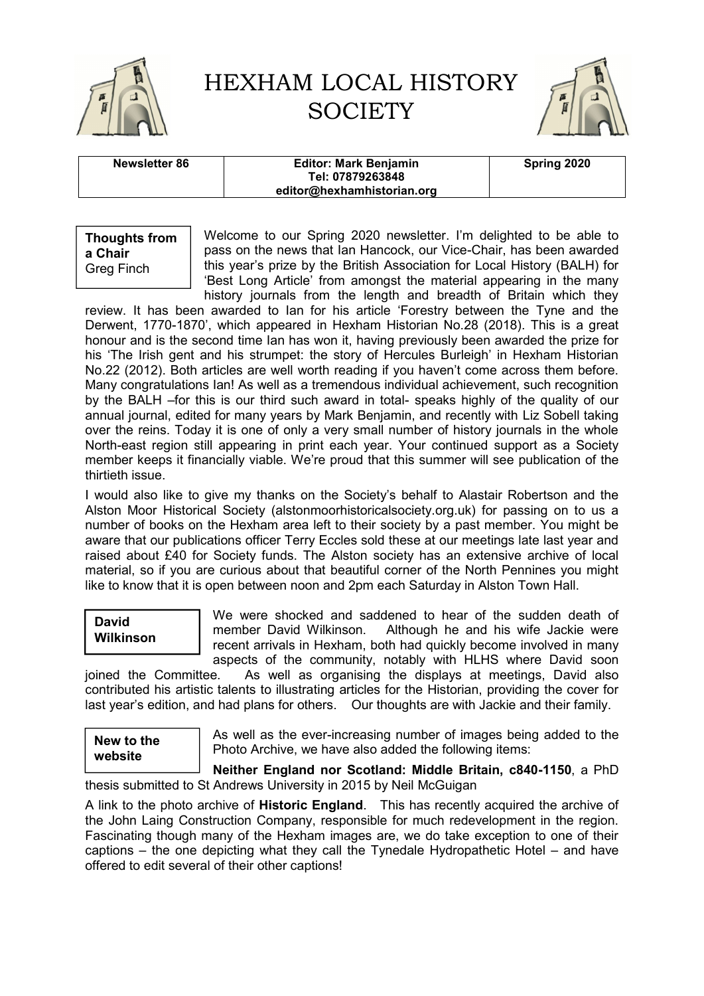

# HEXHAM LOCAL HISTORY **SOCIETY**



| Newsletter 86 | <b>Editor: Mark Benjamin</b><br>Tel: 07879263848 | Spring 2020 |
|---------------|--------------------------------------------------|-------------|
|               | editor@hexhamhistorian.org                       |             |

**Thoughts from a Chair** Greg Finch

Welcome to our Spring 2020 newsletter. I'm delighted to be able to pass on the news that Ian Hancock, our Vice-Chair, has been awarded this year's prize by the British Association for Local History (BALH) for 'Best Long Article' from amongst the material appearing in the many history journals from the length and breadth of Britain which they

review. It has been awarded to Ian for his article 'Forestry between the Tyne and the Derwent, 1770-1870', which appeared in Hexham Historian No.28 (2018). This is a great honour and is the second time Ian has won it, having previously been awarded the prize for his 'The Irish gent and his strumpet: the story of Hercules Burleigh' in Hexham Historian No.22 (2012). Both articles are well worth reading if you haven't come across them before. Many congratulations Ian! As well as a tremendous individual achievement, such recognition by the BALH –for this is our third such award in total- speaks highly of the quality of our annual journal, edited for many years by Mark Benjamin, and recently with Liz Sobell taking over the reins. Today it is one of only a very small number of history journals in the whole North-east region still appearing in print each year. Your continued support as a Society member keeps it financially viable. We're proud that this summer will see publication of the thirtieth issue.

I would also like to give my thanks on the Society's behalf to Alastair Robertson and the Alston Moor Historical Society (alstonmoorhistoricalsociety.org.uk) for passing on to us a number of books on the Hexham area left to their society by a past member. You might be aware that our publications officer Terry Eccles sold these at our meetings late last year and raised about £40 for Society funds. The Alston society has an extensive archive of local material, so if you are curious about that beautiful corner of the North Pennines you might like to know that it is open between noon and 2pm each Saturday in Alston Town Hall.

### **David Wilkinson**

We were shocked and saddened to hear of the sudden death of member David Wilkinson. Although he and his wife Jackie were recent arrivals in Hexham, both had quickly become involved in many aspects of the community, notably with HLHS where David soon

joined the Committee. As well as organising the displays at meetings, David also contributed his artistic talents to illustrating articles for the Historian, providing the cover for last year's edition, and had plans for others. Our thoughts are with Jackie and their family.

**New to the website**

As well as the ever-increasing number of images being added to the Photo Archive, we have also added the following items:

**Neither England nor Scotland: Middle Britain, c840-1150**, a PhD thesis submitted to St Andrews University in 2015 by Neil McGuigan

A link to the photo archive of **Historic England**. This has recently acquired the archive of the John Laing Construction Company, responsible for much redevelopment in the region. Fascinating though many of the Hexham images are, we do take exception to one of their captions – the one depicting what they call the Tynedale Hydropathetic Hotel – and have offered to edit several of their other captions!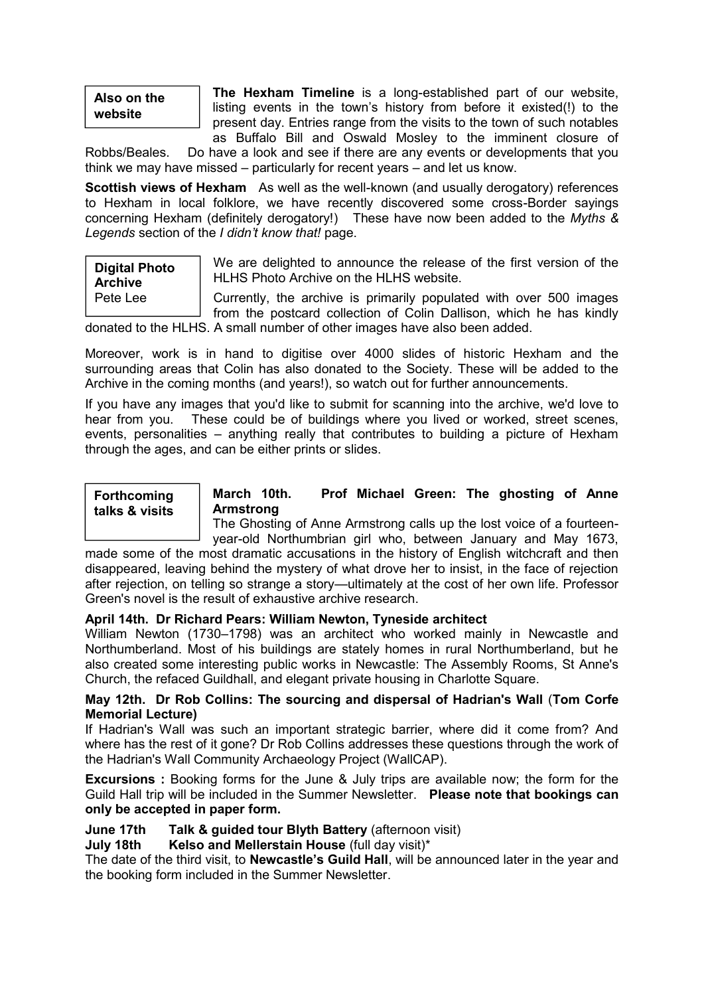## **Also on the website**

**The Hexham Timeline** is a long-established part of our website, listing events in the town's history from before it existed(!) to the present day. Entries range from the visits to the town of such notables as Buffalo Bill and Oswald Mosley to the imminent closure of

Robbs/Beales. Do have a look and see if there are any events or developments that you think we may have missed – particularly for recent years – and let us know.

**Scottish views of Hexham** As well as the well-known (and usually derogatory) references to Hexham in local folklore, we have recently discovered some cross-Border sayings concerning Hexham (definitely derogatory!) These have now been added to the *Myths & Legends* section of the *I didn't know that!* page.

### **Digital Photo Archive** Pete Lee

We are delighted to announce the release of the first version of the HLHS Photo Archive on the HLHS website.

Currently, the archive is primarily populated with over 500 images from the postcard collection of Colin Dallison, which he has kindly donated to the HLHS. A small number of other images have also been added.

Moreover, work is in hand to digitise over 4000 slides of historic Hexham and the surrounding areas that Colin has also donated to the Society. These will be added to the Archive in the coming months (and years!), so watch out for further announcements.

If you have any images that you'd like to submit for scanning into the archive, we'd love to hear from you. These could be of buildings where you lived or worked, street scenes, events, personalities – anything really that contributes to building a picture of Hexham through the ages, and can be either prints or slides.

#### **Forthcoming talks & visits**

#### **March 10th. Prof Michael Green: The ghosting of Anne Armstrong**

The Ghosting of Anne Armstrong calls up the lost voice of a fourteenyear-old Northumbrian girl who, between January and May 1673,

made some of the most dramatic accusations in the history of English witchcraft and then disappeared, leaving behind the mystery of what drove her to insist, in the face of rejection after rejection, on telling so strange a story—ultimately at the cost of her own life. Professor Green's novel is the result of exhaustive archive research.

#### **April 14th. Dr Richard Pears: William Newton, Tyneside architect**

William Newton (1730–1798) was an architect who worked mainly in Newcastle and Northumberland. Most of his buildings are stately homes in rural Northumberland, but he also created some interesting public works in Newcastle: The Assembly Rooms, St Anne's Church, the refaced Guildhall, and elegant private housing in Charlotte Square.

#### **May 12th. Dr Rob Collins: The sourcing and dispersal of Hadrian's Wall** (**Tom Corfe Memorial Lecture)**

If Hadrian's Wall was such an important strategic barrier, where did it come from? And where has the rest of it gone? Dr Rob Collins addresses these questions through the work of the Hadrian's Wall Community Archaeology Project (WallCAP).

**Excursions :** Booking forms for the June & July trips are available now; the form for the Guild Hall trip will be included in the Summer Newsletter. **Please note that bookings can only be accepted in paper form.**

#### **June 17th Talk & guided tour Blyth Battery** (afternoon visit)

#### **July 18th Kelso and Mellerstain House** (full day visit)\*

The date of the third visit, to **Newcastle's Guild Hall**, will be announced later in the year and the booking form included in the Summer Newsletter.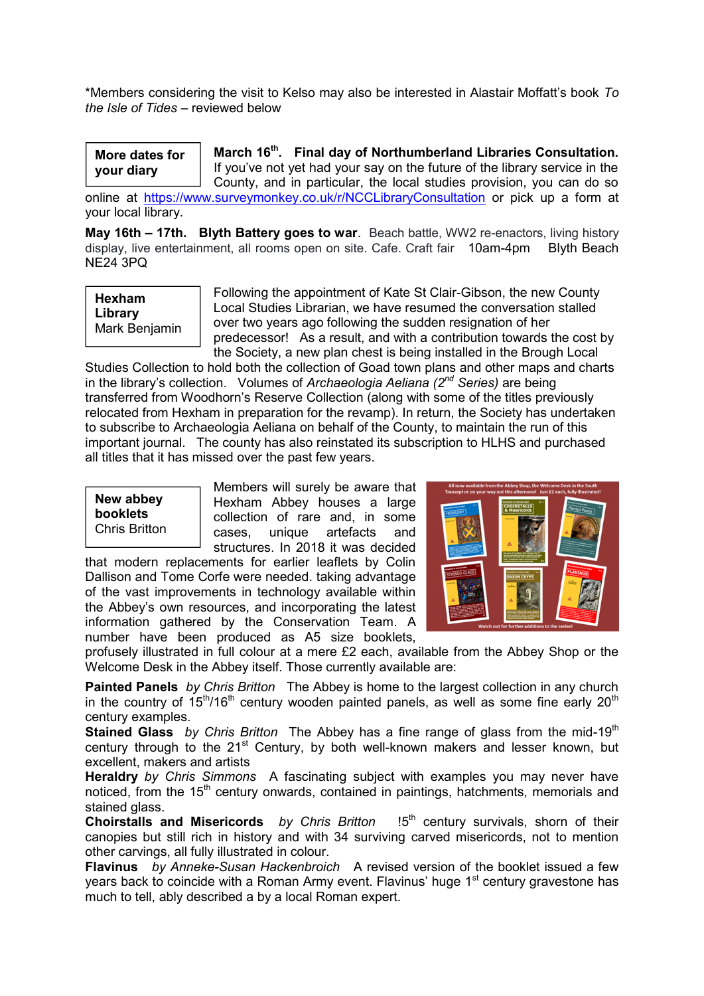\*Members considering the visit to Kelso may also be interested in Alastair Moffatt's book *To the Isle of Tides* – reviewed below

**More dates for your diary**

**March 16th. Final day of Northumberland Libraries Consultation.**  If you've not yet had your say on the future of the library service in the County, and in particular, the local studies provision, you can do so

online at https://www.surveymonkey.co.uk/r/NCCLibraryConsultation or pick up a form at your local library.

**May 16th – 17th. Blyth Battery goes to war**. Beach battle, WW2 re-enactors, living history display, live entertainment, all rooms open on site. Cafe. Craft fair 10am-4pm Blyth Beach NE24 3PQ



Following the appointment of Kate St Clair-Gibson, the new County Local Studies Librarian, we have resumed the conversation stalled over two years ago following the sudden resignation of her predecessor! As a result, and with a contribution towards the cost by the Society, a new plan chest is being installed in the Brough Local

Studies Collection to hold both the collection of Goad town plans and other maps and charts in the library's collection. Volumes of *Archaeologia Aeliana (2nd Series)* are being transferred from Woodhorn's Reserve Collection (along with some of the titles previously relocated from Hexham in preparation for the revamp). In return, the Society has undertaken to subscribe to Archaeologia Aeliana on behalf of the County, to maintain the run of this important journal. The county has also reinstated its subscription to HLHS and purchased all titles that it has missed over the past few years.

**New abbey booklets** Chris Britton

Members will surely be aware that Hexham Abbey houses a large collection of rare and, in some cases, unique artefacts and structures. In 2018 it was decided

that modern replacements for earlier leaflets by Colin Dallison and Tome Corfe were needed. taking advantage of the vast improvements in technology available within the Abbey's own resources, and incorporating the latest information gathered by the Conservation Team. A number have been produced as A5 size booklets,



profusely illustrated in full colour at a mere £2 each, available from the Abbey Shop or the Welcome Desk in the Abbey itself. Those currently available are:

**Painted Panels** *by Chris Britton* The Abbey is home to the largest collection in any church in the country of  $15<sup>th</sup>/16<sup>th</sup>$  century wooden painted panels, as well as some fine early 20<sup>th</sup> century examples.

**Stained Glass** *by Chris Britton* The Abbey has a fine range of glass from the mid-19<sup>th</sup> century through to the  $21^{st}$  Century, by both well-known makers and lesser known, but excellent, makers and artists

**Heraldry** *by Chris Simmons* A fascinating subject with examples you may never have noticed, from the 15<sup>th</sup> century onwards, contained in paintings, hatchments, memorials and stained glass.

**Choirstalls and Misericords** *by Chris Britton* 15<sup>th</sup> century survivals, shorn of their canopies but still rich in history and with 34 surviving carved misericords, not to mention other carvings, all fully illustrated in colour.

**Flavinus** *by Anneke-Susan Hackenbroich* A revised version of the booklet issued a few years back to coincide with a Roman Army event. Flavinus' huge 1<sup>st</sup> century gravestone has much to tell, ably described a by a local Roman expert.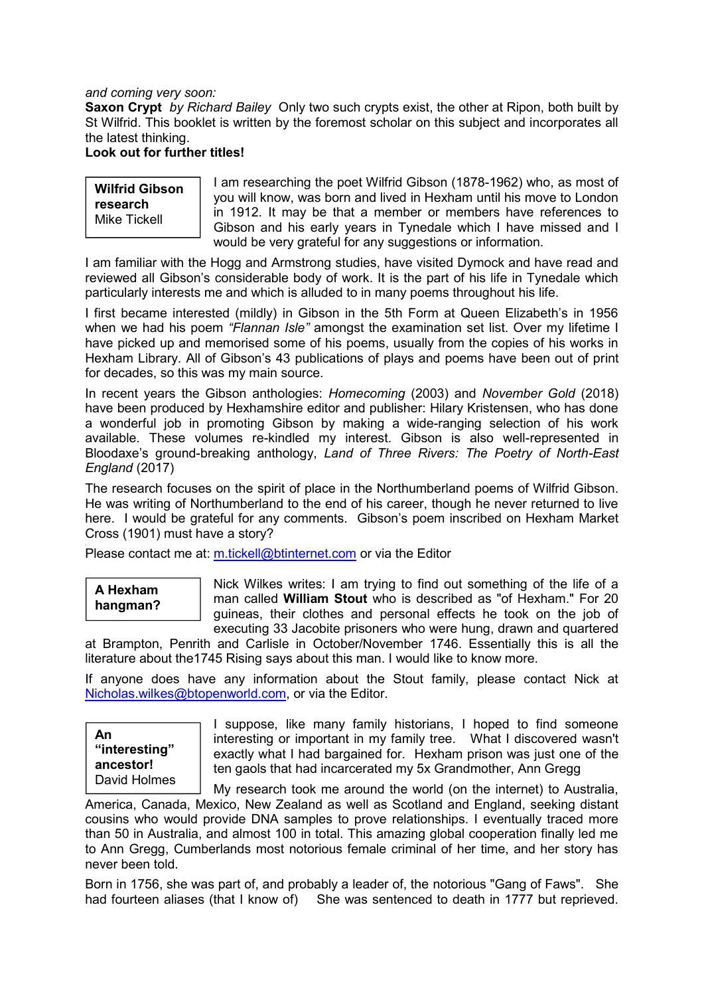*and coming very soon:*

**Saxon Crypt** *by Richard Bailey* Only two such crypts exist, the other at Ripon, both built by St Wilfrid. This booklet is written by the foremost scholar on this subject and incorporates all the latest thinking.

#### **Look out for further titles!**

**Wilfrid Gibson research** Mike Tickell

I am researching the poet Wilfrid Gibson (1878-1962) who, as most of you will know, was born and lived in Hexham until his move to London in 1912. It may be that a member or members have references to Gibson and his early years in Tynedale which I have missed and I would be very grateful for any suggestions or information.

I am familiar with the Hogg and Armstrong studies, have visited Dymock and have read and reviewed all Gibson's considerable body of work. It is the part of his life in Tynedale which particularly interests me and which is alluded to in many poems throughout his life.

I first became interested (mildly) in Gibson in the 5th Form at Queen Elizabeth's in 1956 when we had his poem *"Flannan Isle"* amongst the examination set list. Over my lifetime I have picked up and memorised some of his poems, usually from the copies of his works in Hexham Library. All of Gibson's 43 publications of plays and poems have been out of print for decades, so this was my main source.

In recent years the Gibson anthologies: *Homecoming* (2003) and *November Gold* (2018) have been produced by Hexhamshire editor and publisher: Hilary Kristensen, who has done a wonderful job in promoting Gibson by making a wide-ranging selection of his work available. These volumes re-kindled my interest. Gibson is also well-represented in Bloodaxe's ground-breaking anthology, *Land of Three Rivers: The Poetry of North-East England* (2017)

The research focuses on the spirit of place in the Northumberland poems of Wilfrid Gibson. He was writing of Northumberland to the end of his career, though he never returned to live here. I would be grateful for any comments. Gibson's poem inscribed on Hexham Market Cross (1901) must have a story?

Please contact me at: m.tickell@btinternet.com or via the Editor

# **A Hexham hangman?**

Nick Wilkes writes: I am trying to find out something of the life of a man called **William Stout** who is described as "of Hexham." For 20 guineas, their clothes and personal effects he took on the job of executing 33 Jacobite prisoners who were hung, drawn and quartered

at Brampton, Penrith and Carlisle in October/November 1746. Essentially this is all the literature about the1745 Rising says about this man. I would like to know more.

If anyone does have any information about the Stout family, please contact Nick at Nicholas.wilkes@btopenworld.com, or via the Editor.

**An "interesting" ancestor!** David Holmes I suppose, like many family historians, I hoped to find someone interesting or important in my family tree. What I discovered wasn't exactly what I had bargained for. Hexham prison was just one of the ten gaols that had incarcerated my 5x Grandmother, Ann Gregg

My research took me around the world (on the internet) to Australia, America, Canada, Mexico, New Zealand as well as Scotland and England, seeking distant cousins who would provide DNA samples to prove relationships. I eventually traced more than 50 in Australia, and almost 100 in total. This amazing global cooperation finally led me to Ann Gregg, Cumberlands most notorious female criminal of her time, and her story has never been told.

Born in 1756, she was part of, and probably a leader of, the notorious "Gang of Faws". She had fourteen aliases (that I know of) She was sentenced to death in 1777 but reprieved.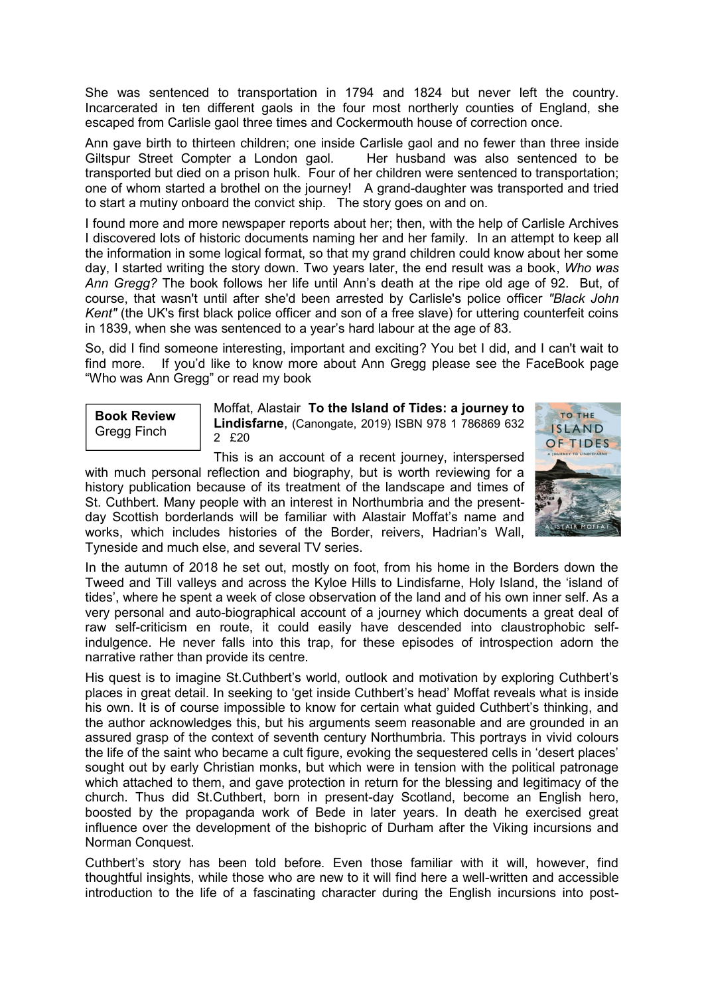She was sentenced to transportation in 1794 and 1824 but never left the country. Incarcerated in ten different gaols in the four most northerly counties of England, she escaped from Carlisle gaol three times and Cockermouth house of correction once.

Ann gave birth to thirteen children; one inside Carlisle gaol and no fewer than three inside Giltspur Street Compter a London gaol. Her husband was also sentenced to be transported but died on a prison hulk. Four of her children were sentenced to transportation; one of whom started a brothel on the journey! A grand-daughter was transported and tried to start a mutiny onboard the convict ship. The story goes on and on.

I found more and more newspaper reports about her; then, with the help of Carlisle Archives I discovered lots of historic documents naming her and her family. In an attempt to keep all the information in some logical format, so that my grand children could know about her some day, I started writing the story down. Two years later, the end result was a book, *Who was Ann Gregg?* The book follows her life until Ann's death at the ripe old age of 92. But, of course, that wasn't until after she'd been arrested by Carlisle's police officer *"Black John Kent"* (the UK's first black police officer and son of a free slave) for uttering counterfeit coins in 1839, when she was sentenced to a year's hard labour at the age of 83.

So, did I find someone interesting, important and exciting? You bet I did, and I can't wait to find more. If you'd like to know more about Ann Gregg please see the FaceBook page "Who was Ann Gregg" or read my book

**Book Review** Gregg Finch

Moffat, Alastair **To the Island of Tides: a journey to Lindisfarne**, (Canongate, 2019) ISBN 978 1 786869 632 2 £20

This is an account of a recent journey, interspersed with much personal reflection and biography, but is worth reviewing for a history publication because of its treatment of the landscape and times of St. Cuthbert. Many people with an interest in Northumbria and the presentday Scottish borderlands will be familiar with Alastair Moffat's name and works, which includes histories of the Border, reivers, Hadrian's Wall, Tyneside and much else, and several TV series.



In the autumn of 2018 he set out, mostly on foot, from his home in the Borders down the Tweed and Till valleys and across the Kyloe Hills to Lindisfarne, Holy Island, the 'island of tides', where he spent a week of close observation of the land and of his own inner self. As a very personal and auto-biographical account of a journey which documents a great deal of raw self-criticism en route, it could easily have descended into claustrophobic selfindulgence. He never falls into this trap, for these episodes of introspection adorn the narrative rather than provide its centre.

His quest is to imagine St.Cuthbert's world, outlook and motivation by exploring Cuthbert's places in great detail. In seeking to 'get inside Cuthbert's head' Moffat reveals what is inside his own. It is of course impossible to know for certain what guided Cuthbert's thinking, and the author acknowledges this, but his arguments seem reasonable and are grounded in an assured grasp of the context of seventh century Northumbria. This portrays in vivid colours the life of the saint who became a cult figure, evoking the sequestered cells in 'desert places' sought out by early Christian monks, but which were in tension with the political patronage which attached to them, and gave protection in return for the blessing and legitimacy of the church. Thus did St.Cuthbert, born in present-day Scotland, become an English hero, boosted by the propaganda work of Bede in later years. In death he exercised great influence over the development of the bishopric of Durham after the Viking incursions and Norman Conquest.

Cuthbert's story has been told before. Even those familiar with it will, however, find thoughtful insights, while those who are new to it will find here a well-written and accessible introduction to the life of a fascinating character during the English incursions into post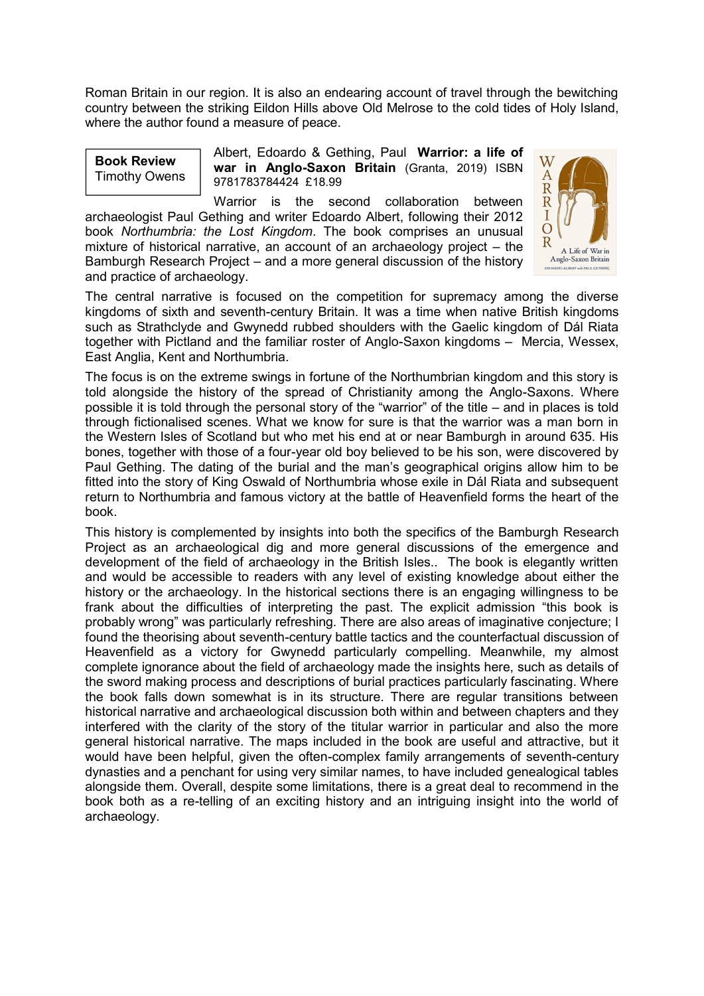Roman Britain in our region. It is also an endearing account of travel through the bewitching country between the striking Eildon Hills above Old Melrose to the cold tides of Holy Island, where the author found a measure of peace.

**Book Review** Timothy Owens Albert, Edoardo & Gething, Paul **Warrior: a life of war in Anglo-Saxon Britain** (Granta, 2019) ISBN 9781783784424 £18.99

Warrior is the second collaboration between archaeologist Paul Gething and writer Edoardo Albert, following their 2012 book *Northumbria: the Lost Kingdom*. The book comprises an unusual mixture of historical narrative, an account of an archaeology project – the Bamburgh Research Project – and a more general discussion of the history and practice of archaeology.



The central narrative is focused on the competition for supremacy among the diverse kingdoms of sixth and seventh-century Britain. It was a time when native British kingdoms such as Strathclyde and Gwynedd rubbed shoulders with the Gaelic kingdom of Dál Riata together with Pictland and the familiar roster of Anglo-Saxon kingdoms – Mercia, Wessex, East Anglia, Kent and Northumbria.

The focus is on the extreme swings in fortune of the Northumbrian kingdom and this story is told alongside the history of the spread of Christianity among the Anglo-Saxons. Where possible it is told through the personal story of the "warrior" of the title – and in places is told through fictionalised scenes. What we know for sure is that the warrior was a man born in the Western Isles of Scotland but who met his end at or near Bamburgh in around 635. His bones, together with those of a four-year old boy believed to be his son, were discovered by Paul Gething. The dating of the burial and the man's geographical origins allow him to be fitted into the story of King Oswald of Northumbria whose exile in Dál Riata and subsequent return to Northumbria and famous victory at the battle of Heavenfield forms the heart of the book.

This history is complemented by insights into both the specifics of the Bamburgh Research Project as an archaeological dig and more general discussions of the emergence and development of the field of archaeology in the British Isles.. The book is elegantly written and would be accessible to readers with any level of existing knowledge about either the history or the archaeology. In the historical sections there is an engaging willingness to be frank about the difficulties of interpreting the past. The explicit admission "this book is probably wrong" was particularly refreshing. There are also areas of imaginative conjecture; I found the theorising about seventh-century battle tactics and the counterfactual discussion of Heavenfield as a victory for Gwynedd particularly compelling. Meanwhile, my almost complete ignorance about the field of archaeology made the insights here, such as details of the sword making process and descriptions of burial practices particularly fascinating. Where the book falls down somewhat is in its structure. There are regular transitions between historical narrative and archaeological discussion both within and between chapters and they interfered with the clarity of the story of the titular warrior in particular and also the more general historical narrative. The maps included in the book are useful and attractive, but it would have been helpful, given the often-complex family arrangements of seventh-century dynasties and a penchant for using very similar names, to have included genealogical tables alongside them. Overall, despite some limitations, there is a great deal to recommend in the book both as a re-telling of an exciting history and an intriguing insight into the world of archaeology.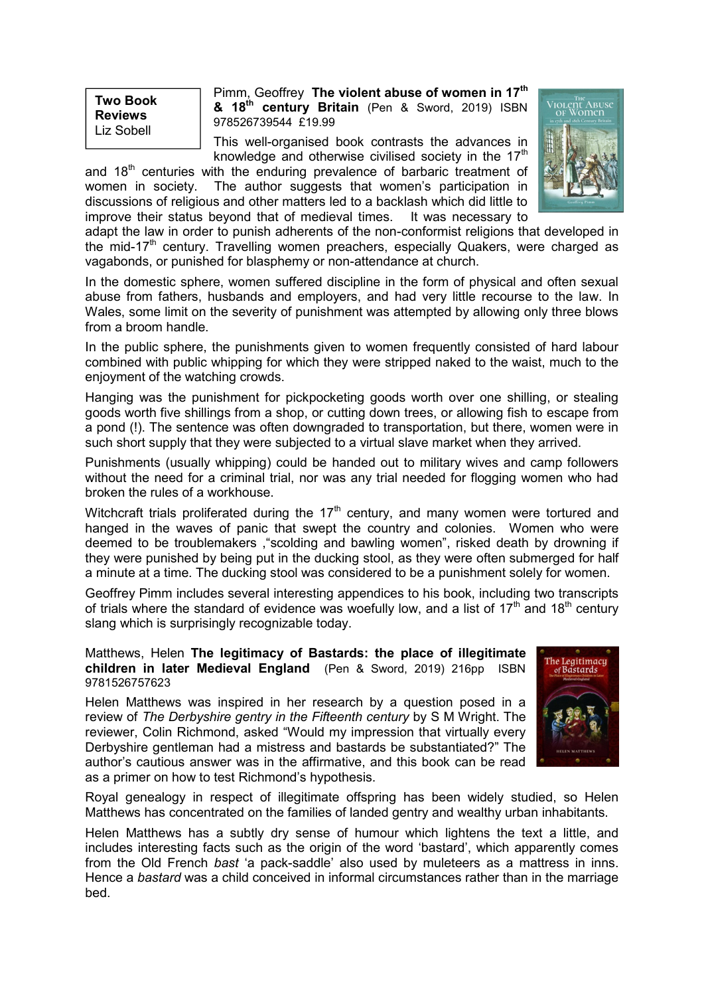**Two Book Reviews** Liz Sobell

Pimm, Geoffrey **The violent abuse of women in 17th & 18th century Britain** (Pen & Sword, 2019) ISBN 978526739544 £19.99

This well-organised book contrasts the advances in knowledge and otherwise civilised society in the  $17<sup>th</sup>$ 

and  $18<sup>th</sup>$  centuries with the enduring prevalence of barbaric treatment of women in society. The author suggests that women's participation in discussions of religious and other matters led to a backlash which did little to improve their status beyond that of medieval times. It was necessary to



adapt the law in order to punish adherents of the non-conformist religions that developed in the mid-17<sup>th</sup> century. Travelling women preachers, especially Quakers, were charged as vagabonds, or punished for blasphemy or non-attendance at church.

In the domestic sphere, women suffered discipline in the form of physical and often sexual abuse from fathers, husbands and employers, and had very little recourse to the law. In Wales, some limit on the severity of punishment was attempted by allowing only three blows from a broom handle.

In the public sphere, the punishments given to women frequently consisted of hard labour combined with public whipping for which they were stripped naked to the waist, much to the enjoyment of the watching crowds.

Hanging was the punishment for pickpocketing goods worth over one shilling, or stealing goods worth five shillings from a shop, or cutting down trees, or allowing fish to escape from a pond (!). The sentence was often downgraded to transportation, but there, women were in such short supply that they were subjected to a virtual slave market when they arrived.

Punishments (usually whipping) could be handed out to military wives and camp followers without the need for a criminal trial, nor was any trial needed for flogging women who had broken the rules of a workhouse.

Witchcraft trials proliferated during the  $17<sup>th</sup>$  century, and many women were tortured and hanged in the waves of panic that swept the country and colonies. Women who were deemed to be troublemakers ,"scolding and bawling women", risked death by drowning if they were punished by being put in the ducking stool, as they were often submerged for half a minute at a time. The ducking stool was considered to be a punishment solely for women.

Geoffrey Pimm includes several interesting appendices to his book, including two transcripts of trials where the standard of evidence was woefully low, and a list of 17<sup>th</sup> and 18<sup>th</sup> century slang which is surprisingly recognizable today.

Matthews, Helen **The legitimacy of Bastards: the place of illegitimate children in later Medieval England** (Pen & Sword, 2019) 216pp ISBN 9781526757623

Helen Matthews was inspired in her research by a question posed in a review of *The Derbyshire gentry in the Fifteenth century* by S M Wright. The reviewer, Colin Richmond, asked "Would my impression that virtually every Derbyshire gentleman had a mistress and bastards be substantiated?" The author's cautious answer was in the affirmative, and this book can be read as a primer on how to test Richmond's hypothesis.



Royal genealogy in respect of illegitimate offspring has been widely studied, so Helen Matthews has concentrated on the families of landed gentry and wealthy urban inhabitants.

Helen Matthews has a subtly dry sense of humour which lightens the text a little, and includes interesting facts such as the origin of the word 'bastard', which apparently comes from the Old French *bast* 'a pack-saddle' also used by muleteers as a mattress in inns. Hence a *bastard* was a child conceived in informal circumstances rather than in the marriage bed.